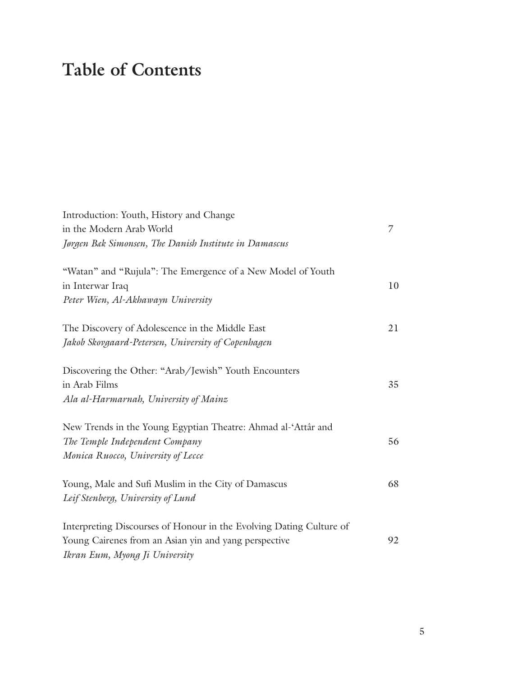## **Table of Contents**

| Introduction: Youth, History and Change<br>in the Modern Arab World<br>Jørgen Bak Simonsen, The Danish Institute in Damascus                                   | 7  |
|----------------------------------------------------------------------------------------------------------------------------------------------------------------|----|
| "Watan" and "Rujula": The Emergence of a New Model of Youth<br>in Interwar Iraq<br>Peter Wien, Al-Akhawayn University                                          | 10 |
| The Discovery of Adolescence in the Middle East<br>Jakob Skovgaard-Petersen, University of Copenhagen                                                          | 21 |
| Discovering the Other: "Arab/Jewish" Youth Encounters<br>in Arab Films<br>Ala al-Harmarnah, University of Mainz                                                | 35 |
| New Trends in the Young Egyptian Theatre: Ahmad al-'Attâr and<br>The Temple Independent Company<br>Monica Ruocco, University of Lecce                          | 56 |
| Young, Male and Sufi Muslim in the City of Damascus<br>Leif Stenberg, University of Lund                                                                       | 68 |
| Interpreting Discourses of Honour in the Evolving Dating Culture of<br>Young Cairenes from an Asian yin and yang perspective<br>Ikran Eum, Myong Ji University | 92 |